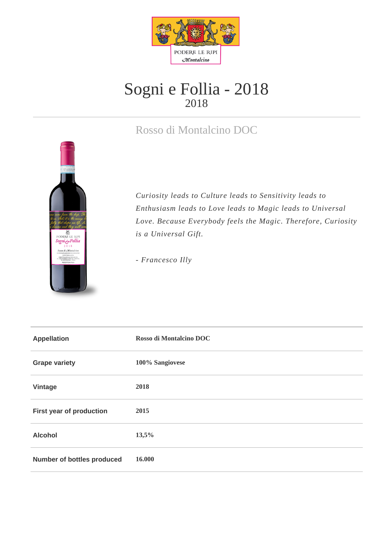

## Sogni e Follia - 2018 2018

## Rosso di Montalcino DOC



*Curiosity leads to Culture leads to Sensitivity leads to Enthusiasm leads to Love leads to Magic leads to Universal Love. Because Everybody feels the Magic. Therefore, Curiosity is a Universal Gift.* 

*- Francesco Illy*

| <b>Appellation</b>                | Rosso di Montalcino DOC |
|-----------------------------------|-------------------------|
| <b>Grape variety</b>              | 100% Sangiovese         |
| Vintage                           | 2018                    |
| First year of production          | 2015                    |
| <b>Alcohol</b>                    | 13,5%                   |
| <b>Number of bottles produced</b> | 16.000                  |